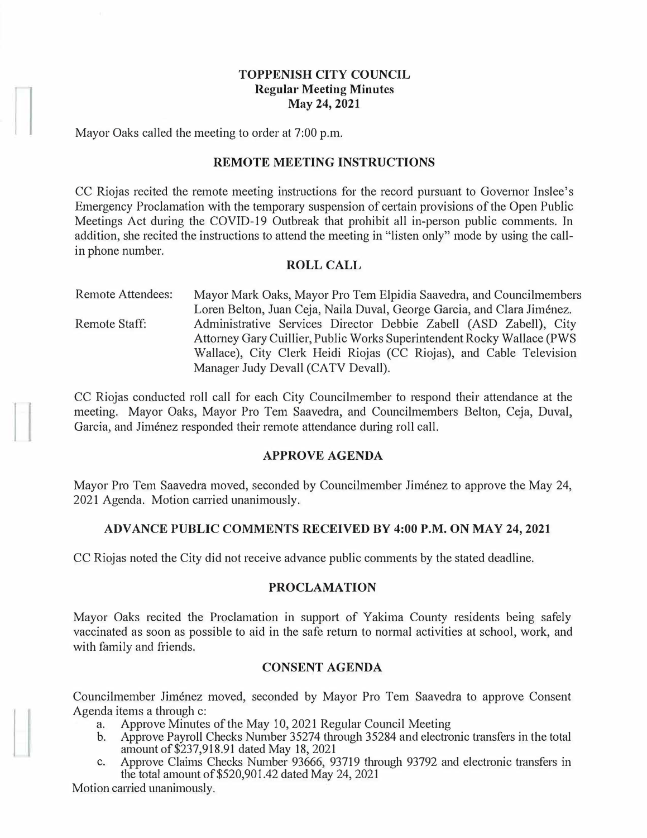# **TOPPENISH CITY COUNCIL Regular Meeting Minutes May 24, 2021**

Mayor Oaks called the meeting to order at 7:00 p.m.

### **REMOTE MEETING INSTRUCTIONS**

CC Riojas recited the remote meeting instructions for the record pursuant to Governor Inslee's Emergency Proclamation with the temporary suspension of certain provisions of the Open Public Meetings Act during the COVID-19 Outbreak that prohibit all in-person public comments. In addition, she recited the instructions to attend the meeting in "listen only" mode by using the callin phone number.

### **ROLL CALL**

Remote Attendees: Remote Staff: Mayor Mark Oaks, Mayor Pro Tern Elpidia Saavedra, and Councilmembers Loren Belton, Juan Ceja, Naila Duval, George Garcia, and Clara Jiménez. Administrative Services Director Debbie Zabell (ASD Zabell), City Attorney Gary Cuillier, Public Works Superintendent Rocky Wallace (PWS Wallace), City Clerk Heidi Riojas (CC Riojas), and Cable Television Manager Judy Devall (CATV Devall).

CC Riojas conducted roll call for each City Councilmember to respond their attendance at the meeting. Mayor Oaks, Mayor Pro Tern Saavedra, and Councilmembers Belton, Ceja, Duval, Garcia, and Jiménez responded their remote attendance during roll call.

# **APPROVE AGENDA**

Mayor Pro Tem Saavedra moved, seconded by Councilmember Jiménez to approve the May 24, 2021 Agenda. Motion carried unanimously.

# **ADVANCE PUBLIC COMMENTS RECEIVED BY 4:00 P.M. ON MAY 24, 2021**

CC Riojas noted the City did not receive advance public comments by the stated deadline.

#### **PROCLAMATION**

Mayor Oaks recited the Proclamation in support of Yakima County residents being safely vaccinated as soon as possible to aid in the safe return to normal activities at school, work, and with family and friends.

# **CONSENT AGENDA**

Councilmember Jiménez moved, seconded by Mayor Pro Tem Saavedra to approve Consent Agenda items a through c:

- a. Approve Minutes of the May 10, 2021 Regular Council Meeting<br>b. Approve Payroll Checks Number 35274 through 35284 and electron
- b. Approve Payroll Checks Number 35274 through 35284 and electronic transfers in the total amount of\$237,918.91 dated May 18, 2021
- c. Approve Claims Checks Number 93666, 93719 through 93792 and electronic transfers in the total amount of \$520,901.42 dated May 24, 2021

Motion carried unanimously.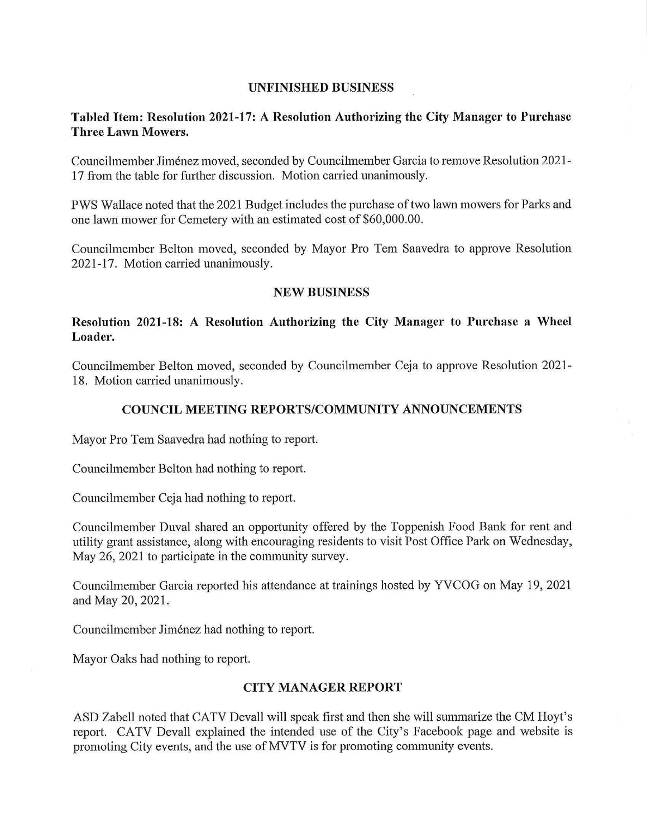#### **UNFINISHED BUSINESS**

# **Tabled Item: Resolution 2021-17: A Resolution Authorizing the City Manager to Purchase Three Lawn Mowers.**

Councilmember Jimenez moved, seconded by Councilmember Garcia to remove Resolution 2021- 17 from the table for further discussion. Motion carried unanimously.

PWS Wallace noted that the 2021 Budget includes the purchase of two lawn mowers for Parks and one lawn mower for Cemetery with an estimated cost of \$60,000.00.

Councilmember Belton moved, seconded by Mayor Pro Tem Saavedra to approve Resolution 2021-17. Motion carried unanimously.

#### **NEW BUSINESS**

# **Resolution 2021-18: A Resolution Authorizing the City Manager to Purchase a Wheel Loader.**

Councilmember Belton moved, seconded by Councilmember Ceja to approve Resolution 2021- 18. Motion carried unanimously.

### **COUNCIL MEETING REPORTS/COMMUNITY ANNOUNCEMENTS**

Mayor Pro Tem Saavedra had nothing to report.

Councilmember Belton had nothing to report.

Councilmember Ceja had nothing to report.

Councilmember Duval shared an opportunity offered by the Toppenish Food Bank for rent and utility grant assistance, along with encouraging residents to visit Post Office Park on Wednesday, May 26, 2021 to participate in the community survey.

Councilmember Garcia reported his attendance at trainings hosted by YVCOG on May 19, 2021 and May 20, 2021.

Councilmember Jimenez had nothing to report.

Mayor Oaks had nothing to report.

#### **CITY MANAGER REPORT**

ASD Zabell noted that CATV Devall will speak first and then she will summarize the CM Hoyt's report. CATV Devall explained the intended use of the City's Facebook page and website is promoting City events, and the use of MVTV is for promoting community events.